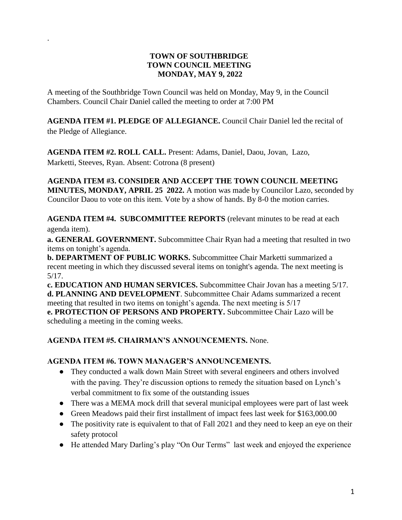### **TOWN OF SOUTHBRIDGE TOWN COUNCIL MEETING MONDAY, MAY 9, 2022**

A meeting of the Southbridge Town Council was held on Monday, May 9, in the Council Chambers. Council Chair Daniel called the meeting to order at 7:00 PM

.

**AGENDA ITEM #1. PLEDGE OF ALLEGIANCE.** Council Chair Daniel led the recital of the Pledge of Allegiance.

**AGENDA ITEM #2. ROLL CALL.** Present: Adams, Daniel, Daou, Jovan, Lazo, Marketti, Steeves, Ryan. Absent: Cotrona (8 present)

**AGENDA ITEM #3. CONSIDER AND ACCEPT THE TOWN COUNCIL MEETING MINUTES, MONDAY, APRIL 25 2022.** A motion was made by Councilor Lazo, seconded by Councilor Daou to vote on this item. Vote by a show of hands. By 8-0 the motion carries.

**AGENDA ITEM #4. SUBCOMMITTEE REPORTS** (relevant minutes to be read at each agenda item).

**a. GENERAL GOVERNMENT.** Subcommittee Chair Ryan had a meeting that resulted in two items on tonight's agenda.

**b. DEPARTMENT OF PUBLIC WORKS.** Subcommittee Chair Marketti summarized a recent meeting in which they discussed several items on tonight's agenda. The next meeting is 5/17.

**c. EDUCATION AND HUMAN SERVICES.** Subcommittee Chair Jovan has a meeting 5/17. **d. PLANNING AND DEVELOPMENT**. Subcommittee Chair Adams summarized a recent meeting that resulted in two items on tonight's agenda. The next meeting is 5/17 **e. PROTECTION OF PERSONS AND PROPERTY.** Subcommittee Chair Lazo will be scheduling a meeting in the coming weeks.

### **AGENDA ITEM #5. CHAIRMAN'S ANNOUNCEMENTS.** None.

#### **AGENDA ITEM #6. TOWN MANAGER'S ANNOUNCEMENTS.**

- They conducted a walk down Main Street with several engineers and others involved with the paving. They're discussion options to remedy the situation based on Lynch's verbal commitment to fix some of the outstanding issues
- There was a MEMA mock drill that several municipal employees were part of last week
- Green Meadows paid their first installment of impact fees last week for \$163,000.00
- The positivity rate is equivalent to that of Fall 2021 and they need to keep an eye on their safety protocol
- He attended Mary Darling's play "On Our Terms" last week and enjoyed the experience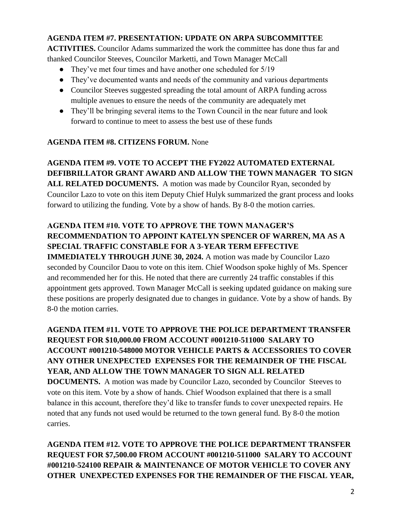### **AGENDA ITEM #7. PRESENTATION: UPDATE ON ARPA SUBCOMMITTEE**

**ACTIVITIES.** Councilor Adams summarized the work the committee has done thus far and thanked Councilor Steeves, Councilor Marketti, and Town Manager McCall

- They've met four times and have another one scheduled for 5/19
- They've documented wants and needs of the community and various departments
- Councilor Steeves suggested spreading the total amount of ARPA funding across multiple avenues to ensure the needs of the community are adequately met
- They'll be bringing several items to the Town Council in the near future and look forward to continue to meet to assess the best use of these funds

### **AGENDA ITEM #8. CITIZENS FORUM.** None

# **AGENDA ITEM #9. VOTE TO ACCEPT THE FY2022 AUTOMATED EXTERNAL DEFIBRILLATOR GRANT AWARD AND ALLOW THE TOWN MANAGER TO SIGN**

**ALL RELATED DOCUMENTS.** A motion was made by Councilor Ryan, seconded by Councilor Lazo to vote on this item Deputy Chief Hulyk summarized the grant process and looks forward to utilizing the funding. Vote by a show of hands. By 8-0 the motion carries.

## **AGENDA ITEM #10. VOTE TO APPROVE THE TOWN MANAGER'S RECOMMENDATION TO APPOINT KATELYN SPENCER OF WARREN, MA AS A SPECIAL TRAFFIC CONSTABLE FOR A 3-YEAR TERM EFFECTIVE**

**IMMEDIATELY THROUGH JUNE 30, 2024.** A motion was made by Councilor Lazo seconded by Councilor Daou to vote on this item. Chief Woodson spoke highly of Ms. Spencer and recommended her for this. He noted that there are currently 24 traffic constables if this appointment gets approved. Town Manager McCall is seeking updated guidance on making sure these positions are properly designated due to changes in guidance. Vote by a show of hands. By 8-0 the motion carries.

**AGENDA ITEM #11. VOTE TO APPROVE THE POLICE DEPARTMENT TRANSFER REQUEST FOR \$10,000.00 FROM ACCOUNT #001210-511000 SALARY TO ACCOUNT #001210-548000 MOTOR VEHICLE PARTS & ACCESSORIES TO COVER ANY OTHER UNEXPECTED EXPENSES FOR THE REMAINDER OF THE FISCAL YEAR, AND ALLOW THE TOWN MANAGER TO SIGN ALL RELATED DOCUMENTS.** A motion was made by Councilor Lazo, seconded by Councilor Steeves to vote on this item. Vote by a show of hands. Chief Woodson explained that there is a small balance in this account, therefore they'd like to transfer funds to cover unexpected repairs. He noted that any funds not used would be returned to the town general fund. By 8-0 the motion carries.

**AGENDA ITEM #12. VOTE TO APPROVE THE POLICE DEPARTMENT TRANSFER REQUEST FOR \$7,500.00 FROM ACCOUNT #001210-511000 SALARY TO ACCOUNT #001210-524100 REPAIR & MAINTENANCE OF MOTOR VEHICLE TO COVER ANY OTHER UNEXPECTED EXPENSES FOR THE REMAINDER OF THE FISCAL YEAR,**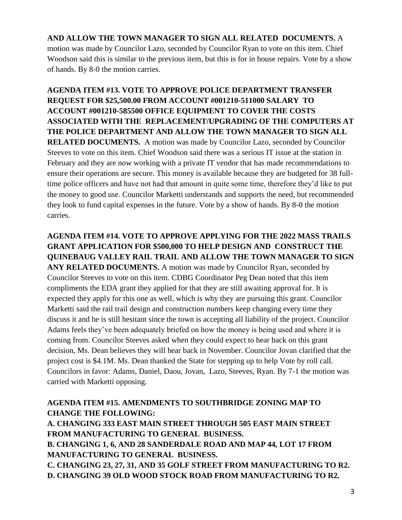### **AND ALLOW THE TOWN MANAGER TO SIGN ALL RELATED DOCUMENTS.** A

motion was made by Councilor Lazo, seconded by Councilor Ryan to vote on this item. Chief Woodson said this is similar to the previous item, but this is for in house repairs. Vote by a show of hands. By 8-0 the motion carries.

**AGENDA ITEM #13. VOTE TO APPROVE POLICE DEPARTMENT TRANSFER REQUEST FOR \$25,500.00 FROM ACCOUNT #001210-511000 SALARY TO ACCOUNT #001210-585500 OFFICE EQUIPMENT TO COVER THE COSTS ASSOCIATED WITH THE REPLACEMENT/UPGRADING OF THE COMPUTERS AT THE POLICE DEPARTMENT AND ALLOW THE TOWN MANAGER TO SIGN ALL RELATED DOCUMENTS.** A motion was made by Councilor Lazo, seconded by Councilor Steeves to vote on this item. Chief Woodson said there was a serious IT issue at the station in February and they are now working with a private IT vendor that has made recommendations to ensure their operations are secure. This money is available because they are budgeted for 38 fulltime police officers and have not had that amount in quite some time, therefore they'd like to put the money to good use. Councilor Marketti understands and supports the need, but recommended they look to fund capital expenses in the future. Vote by a show of hands. By 8-0 the motion carries.

**AGENDA ITEM #14. VOTE TO APPROVE APPLYING FOR THE 2022 MASS TRAILS GRANT APPLICATION FOR \$500,000 TO HELP DESIGN AND CONSTRUCT THE QUINEBAUG VALLEY RAIL TRAIL AND ALLOW THE TOWN MANAGER TO SIGN**  ANY RELATED DOCUMENTS. A motion was made by Councilor Ryan, seconded by Councilor Steeves to vote on this item. CDBG Coordinator Peg Dean noted that this item compliments the EDA grant they applied for that they are still awaiting approval for. It is expected they apply for this one as well, which is why they are pursuing this grant. Councilor Marketti said the rail trail design and construction numbers keep changing every time they discuss it and he is still hesitant since the town is accepting all liability of the project. Councilor Adams feels they've been adequately briefed on how the money is being used and where it is coming from. Councilor Steeves asked when they could expect to hear back on this grant decision, Ms. Dean believes they will hear back in November. Councilor Jovan clarified that the project cost is \$4.1M. Ms. Dean thanked the State for stepping up to help Vote by roll call. Councilors in favor: Adams, Daniel, Daou, Jovan, Lazo, Steeves, Ryan. By 7-1 the motion was carried with Marketti opposing.

### **AGENDA ITEM #15. AMENDMENTS TO SOUTHBRIDGE ZONING MAP TO CHANGE THE FOLLOWING:**

**A. CHANGING 333 EAST MAIN STREET THROUGH 505 EAST MAIN STREET FROM MANUFACTURING TO GENERAL BUSINESS. B. CHANGING 1, 6, AND 28 SANDERDALE ROAD AND MAP 44, LOT 17 FROM MANUFACTURING TO GENERAL BUSINESS. C. CHANGING 23, 27, 31, AND 35 GOLF STREET FROM MANUFACTURING TO R2. D. CHANGING 39 OLD WOOD STOCK ROAD FROM MANUFACTURING TO R2.**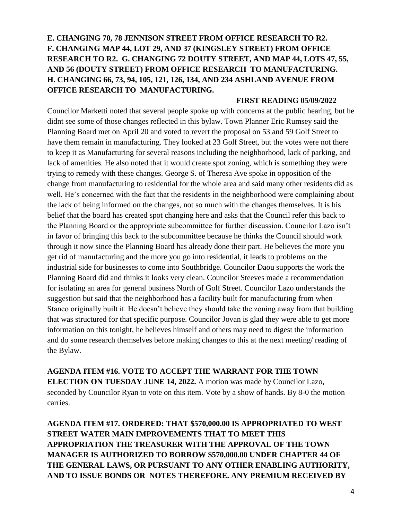## **E. CHANGING 70, 78 JENNISON STREET FROM OFFICE RESEARCH TO R2. F. CHANGING MAP 44, LOT 29, AND 37 (KINGSLEY STREET) FROM OFFICE RESEARCH TO R2. G. CHANGING 72 DOUTY STREET, AND MAP 44, LOTS 47, 55, AND 56 (DOUTY STREET) FROM OFFICE RESEARCH TO MANUFACTURING. H. CHANGING 66, 73, 94, 105, 121, 126, 134, AND 234 ASHLAND AVENUE FROM OFFICE RESEARCH TO MANUFACTURING.**

#### **FIRST READING 05/09/2022**

Councilor Marketti noted that several people spoke up with concerns at the public hearing, but he didnt see some of those changes reflected in this bylaw. Town Planner Eric Rumsey said the Planning Board met on April 20 and voted to revert the proposal on 53 and 59 Golf Street to have them remain in manufacturing. They looked at 23 Golf Street, but the votes were not there to keep it as Manufacturing for several reasons including the neighborhood, lack of parking, and lack of amenities. He also noted that it would create spot zoning, which is something they were trying to remedy with these changes. George S. of Theresa Ave spoke in opposition of the change from manufacturing to residential for the whole area and said many other residents did as well. He's concerned with the fact that the residents in the neighborhood were complaining about the lack of being informed on the changes, not so much with the changes themselves. It is his belief that the board has created spot changing here and asks that the Council refer this back to the Planning Board or the appropriate subcommittee for further discussion. Councilor Lazo isn't in favor of bringing this back to the subcommittee because he thinks the Council should work through it now since the Planning Board has already done their part. He believes the more you get rid of manufacturing and the more you go into residential, it leads to problems on the industrial side for businesses to come into Southbridge. Councilor Daou supports the work the Planning Board did and thinks it looks very clean. Councilor Steeves made a recommendation for isolating an area for general business North of Golf Street. Councilor Lazo understands the suggestion but said that the neighborhood has a facility built for manufacturing from when Stanco originally built it. He doesn't believe they should take the zoning away from that building that was structured for that specific purpose. Councilor Jovan is glad they were able to get more information on this tonight, he believes himself and others may need to digest the information and do some research themselves before making changes to this at the next meeting/ reading of the Bylaw.

**AGENDA ITEM #16. VOTE TO ACCEPT THE WARRANT FOR THE TOWN ELECTION ON TUESDAY JUNE 14, 2022.** A motion was made by Councilor Lazo, seconded by Councilor Ryan to vote on this item. Vote by a show of hands. By 8-0 the motion carries.

**AGENDA ITEM #17. ORDERED: THAT \$570,000.00 IS APPROPRIATED TO WEST STREET WATER MAIN IMPROVEMENTS THAT TO MEET THIS APPROPRIATION THE TREASURER WITH THE APPROVAL OF THE TOWN MANAGER IS AUTHORIZED TO BORROW \$570,000.00 UNDER CHAPTER 44 OF THE GENERAL LAWS, OR PURSUANT TO ANY OTHER ENABLING AUTHORITY, AND TO ISSUE BONDS OR NOTES THEREFORE. ANY PREMIUM RECEIVED BY**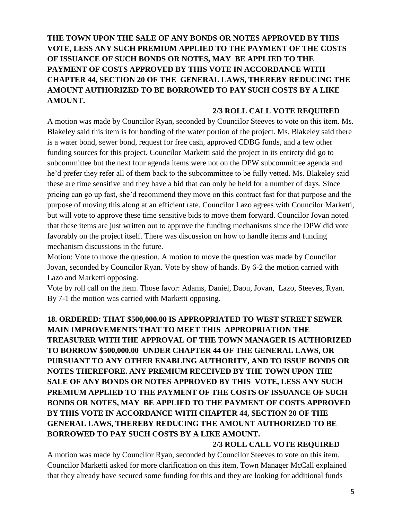**THE TOWN UPON THE SALE OF ANY BONDS OR NOTES APPROVED BY THIS VOTE, LESS ANY SUCH PREMIUM APPLIED TO THE PAYMENT OF THE COSTS OF ISSUANCE OF SUCH BONDS OR NOTES, MAY BE APPLIED TO THE PAYMENT OF COSTS APPROVED BY THIS VOTE IN ACCORDANCE WITH CHAPTER 44, SECTION 20 OF THE GENERAL LAWS, THEREBY REDUCING THE AMOUNT AUTHORIZED TO BE BORROWED TO PAY SUCH COSTS BY A LIKE AMOUNT.** 

#### **2/3 ROLL CALL VOTE REQUIRED**

A motion was made by Councilor Ryan, seconded by Councilor Steeves to vote on this item. Ms. Blakeley said this item is for bonding of the water portion of the project. Ms. Blakeley said there is a water bond, sewer bond, request for free cash, approved CDBG funds, and a few other funding sources for this project. Councilor Marketti said the project in its entirety did go to subcommittee but the next four agenda items were not on the DPW subcommittee agenda and he'd prefer they refer all of them back to the subcommittee to be fully vetted. Ms. Blakeley said these are time sensitive and they have a bid that can only be held for a number of days. Since pricing can go up fast, she'd recommend they move on this contract fast for that purpose and the purpose of moving this along at an efficient rate. Councilor Lazo agrees with Councilor Marketti, but will vote to approve these time sensitive bids to move them forward. Councilor Jovan noted that these items are just written out to approve the funding mechanisms since the DPW did vote favorably on the project itself. There was discussion on how to handle items and funding mechanism discussions in the future.

Motion: Vote to move the question. A motion to move the question was made by Councilor Jovan, seconded by Councilor Ryan. Vote by show of hands. By 6-2 the motion carried with Lazo and Marketti opposing.

Vote by roll call on the item. Those favor: Adams, Daniel, Daou, Jovan, Lazo, Steeves, Ryan. By 7-1 the motion was carried with Marketti opposing.

## **18. ORDERED: THAT \$500,000.00 IS APPROPRIATED TO WEST STREET SEWER MAIN IMPROVEMENTS THAT TO MEET THIS APPROPRIATION THE TREASURER WITH THE APPROVAL OF THE TOWN MANAGER IS AUTHORIZED TO BORROW \$500,000.00 UNDER CHAPTER 44 OF THE GENERAL LAWS, OR PURSUANT TO ANY OTHER ENABLING AUTHORITY, AND TO ISSUE BONDS OR NOTES THEREFORE. ANY PREMIUM RECEIVED BY THE TOWN UPON THE SALE OF ANY BONDS OR NOTES APPROVED BY THIS VOTE, LESS ANY SUCH PREMIUM APPLIED TO THE PAYMENT OF THE COSTS OF ISSUANCE OF SUCH BONDS OR NOTES, MAY BE APPLIED TO THE PAYMENT OF COSTS APPROVED BY THIS VOTE IN ACCORDANCE WITH CHAPTER 44, SECTION 20 OF THE GENERAL LAWS, THEREBY REDUCING THE AMOUNT AUTHORIZED TO BE BORROWED TO PAY SUCH COSTS BY A LIKE AMOUNT.**

#### **2/3 ROLL CALL VOTE REQUIRED**

A motion was made by Councilor Ryan, seconded by Councilor Steeves to vote on this item. Councilor Marketti asked for more clarification on this item, Town Manager McCall explained that they already have secured some funding for this and they are looking for additional funds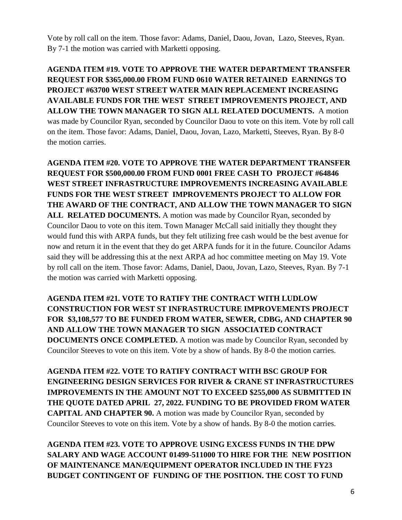Vote by roll call on the item. Those favor: Adams, Daniel, Daou, Jovan, Lazo, Steeves, Ryan. By 7-1 the motion was carried with Marketti opposing.

**AGENDA ITEM #19. VOTE TO APPROVE THE WATER DEPARTMENT TRANSFER REQUEST FOR \$365,000.00 FROM FUND 0610 WATER RETAINED EARNINGS TO PROJECT #63700 WEST STREET WATER MAIN REPLACEMENT INCREASING AVAILABLE FUNDS FOR THE WEST STREET IMPROVEMENTS PROJECT, AND ALLOW THE TOWN MANAGER TO SIGN ALL RELATED DOCUMENTS.** A motion was made by Councilor Ryan, seconded by Councilor Daou to vote on this item. Vote by roll call on the item. Those favor: Adams, Daniel, Daou, Jovan, Lazo, Marketti, Steeves, Ryan. By 8-0 the motion carries.

**AGENDA ITEM #20. VOTE TO APPROVE THE WATER DEPARTMENT TRANSFER REQUEST FOR \$500,000.00 FROM FUND 0001 FREE CASH TO PROJECT #64846 WEST STREET INFRASTRUCTURE IMPROVEMENTS INCREASING AVAILABLE FUNDS FOR THE WEST STREET IMPROVEMENTS PROJECT TO ALLOW FOR THE AWARD OF THE CONTRACT, AND ALLOW THE TOWN MANAGER TO SIGN**  ALL **RELATED DOCUMENTS.** A motion was made by Councilor Ryan, seconded by Councilor Daou to vote on this item. Town Manager McCall said initially they thought they would fund this with ARPA funds, but they felt utilizing free cash would be the best avenue for now and return it in the event that they do get ARPA funds for it in the future. Councilor Adams said they will be addressing this at the next ARPA ad hoc committee meeting on May 19. Vote by roll call on the item. Those favor: Adams, Daniel, Daou, Jovan, Lazo, Steeves, Ryan. By 7-1 the motion was carried with Marketti opposing.

**AGENDA ITEM #21. VOTE TO RATIFY THE CONTRACT WITH LUDLOW CONSTRUCTION FOR WEST ST INFRASTRUCTURE IMPROVEMENTS PROJECT FOR \$3,108,577 TO BE FUNDED FROM WATER, SEWER, CDBG, AND CHAPTER 90 AND ALLOW THE TOWN MANAGER TO SIGN ASSOCIATED CONTRACT DOCUMENTS ONCE COMPLETED.** A motion was made by Councilor Ryan, seconded by Councilor Steeves to vote on this item. Vote by a show of hands. By 8-0 the motion carries.

**AGENDA ITEM #22. VOTE TO RATIFY CONTRACT WITH BSC GROUP FOR ENGINEERING DESIGN SERVICES FOR RIVER & CRANE ST INFRASTRUCTURES IMPROVEMENTS IN THE AMOUNT NOT TO EXCEED \$255,000 AS SUBMITTED IN THE QUOTE DATED APRIL 27, 2022. FUNDING TO BE PROVIDED FROM WATER CAPITAL AND CHAPTER 90.** A motion was made by Councilor Ryan, seconded by Councilor Steeves to vote on this item. Vote by a show of hands. By 8-0 the motion carries.

**AGENDA ITEM #23. VOTE TO APPROVE USING EXCESS FUNDS IN THE DPW SALARY AND WAGE ACCOUNT 01499-511000 TO HIRE FOR THE NEW POSITION OF MAINTENANCE MAN/EQUIPMENT OPERATOR INCLUDED IN THE FY23 BUDGET CONTINGENT OF FUNDING OF THE POSITION. THE COST TO FUND**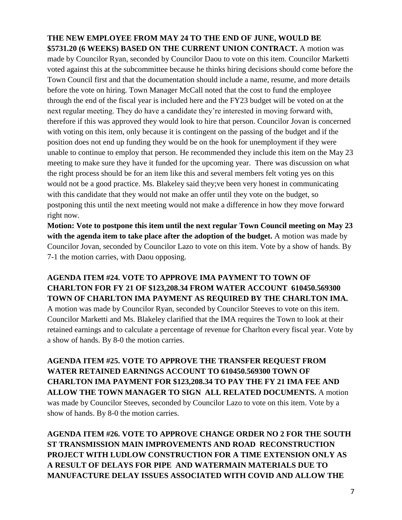### **THE NEW EMPLOYEE FROM MAY 24 TO THE END OF JUNE, WOULD BE \$5731.20 (6 WEEKS) BASED ON THE CURRENT UNION CONTRACT.** A motion was

made by Councilor Ryan, seconded by Councilor Daou to vote on this item. Councilor Marketti voted against this at the subcommittee because he thinks hiring decisions should come before the Town Council first and that the documentation should include a name, resume, and more details before the vote on hiring. Town Manager McCall noted that the cost to fund the employee through the end of the fiscal year is included here and the FY23 budget will be voted on at the next regular meeting. They do have a candidate they're interested in moving forward with, therefore if this was approved they would look to hire that person. Councilor Jovan is concerned with voting on this item, only because it is contingent on the passing of the budget and if the position does not end up funding they would be on the hook for unemployment if they were unable to continue to employ that person. He recommended they include this item on the May 23 meeting to make sure they have it funded for the upcoming year. There was discussion on what the right process should be for an item like this and several members felt voting yes on this would not be a good practice. Ms. Blakeley said they;ve been very honest in communicating with this candidate that they would not make an offer until they vote on the budget, so postponing this until the next meeting would not make a difference in how they move forward right now.

**Motion: Vote to postpone this item until the next regular Town Council meeting on May 23 with the agenda item to take place after the adoption of the budget.** A motion was made by Councilor Jovan, seconded by Councilor Lazo to vote on this item. Vote by a show of hands. By 7-1 the motion carries, with Daou opposing.

### **AGENDA ITEM #24. VOTE TO APPROVE IMA PAYMENT TO TOWN OF CHARLTON FOR FY 21 OF \$123,208.34 FROM WATER ACCOUNT 610450.569300 TOWN OF CHARLTON IMA PAYMENT AS REQUIRED BY THE CHARLTON IMA.**

A motion was made by Councilor Ryan, seconded by Councilor Steeves to vote on this item. Councilor Marketti and Ms. Blakeley clarified that the IMA requires the Town to look at their retained earnings and to calculate a percentage of revenue for Charlton every fiscal year. Vote by a show of hands. By 8-0 the motion carries.

**AGENDA ITEM #25. VOTE TO APPROVE THE TRANSFER REQUEST FROM WATER RETAINED EARNINGS ACCOUNT TO 610450.569300 TOWN OF CHARLTON IMA PAYMENT FOR \$123,208.34 TO PAY THE FY 21 IMA FEE AND ALLOW THE TOWN MANAGER TO SIGN ALL RELATED DOCUMENTS.** A motion was made by Councilor Steeves, seconded by Councilor Lazo to vote on this item. Vote by a show of hands. By 8-0 the motion carries.

**AGENDA ITEM #26. VOTE TO APPROVE CHANGE ORDER NO 2 FOR THE SOUTH ST TRANSMISSION MAIN IMPROVEMENTS AND ROAD RECONSTRUCTION PROJECT WITH LUDLOW CONSTRUCTION FOR A TIME EXTENSION ONLY AS A RESULT OF DELAYS FOR PIPE AND WATERMAIN MATERIALS DUE TO MANUFACTURE DELAY ISSUES ASSOCIATED WITH COVID AND ALLOW THE**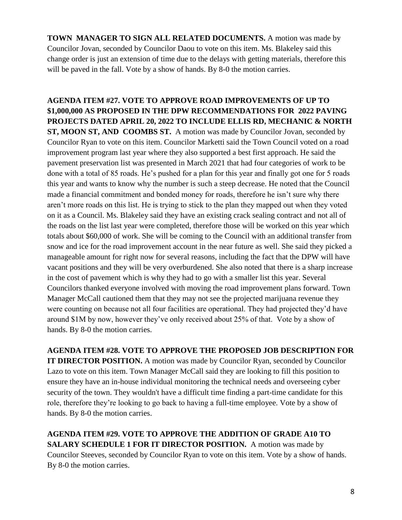**TOWN MANAGER TO SIGN ALL RELATED DOCUMENTS.** A motion was made by Councilor Jovan, seconded by Councilor Daou to vote on this item. Ms. Blakeley said this change order is just an extension of time due to the delays with getting materials, therefore this will be paved in the fall. Vote by a show of hands. By 8-0 the motion carries.

**AGENDA ITEM #27. VOTE TO APPROVE ROAD IMPROVEMENTS OF UP TO \$1,000,000 AS PROPOSED IN THE DPW RECOMMENDATIONS FOR 2022 PAVING PROJECTS DATED APRIL 20, 2022 TO INCLUDE ELLIS RD, MECHANIC & NORTH ST, MOON ST, AND COOMBS ST.** A motion was made by Councilor Jovan, seconded by Councilor Ryan to vote on this item. Councilor Marketti said the Town Council voted on a road improvement program last year where they also supported a best first approach. He said the pavement preservation list was presented in March 2021 that had four categories of work to be done with a total of 85 roads. He's pushed for a plan for this year and finally got one for 5 roads this year and wants to know why the number is such a steep decrease. He noted that the Council made a financial commitment and bonded money for roads, therefore he isn't sure why there aren't more roads on this list. He is trying to stick to the plan they mapped out when they voted on it as a Council. Ms. Blakeley said they have an existing crack sealing contract and not all of the roads on the list last year were completed, therefore those will be worked on this year which totals about \$60,000 of work. She will be coming to the Council with an additional transfer from snow and ice for the road improvement account in the near future as well. She said they picked a manageable amount for right now for several reasons, including the fact that the DPW will have vacant positions and they will be very overburdened. She also noted that there is a sharp increase in the cost of pavement which is why they had to go with a smaller list this year. Several Councilors thanked everyone involved with moving the road improvement plans forward. Town Manager McCall cautioned them that they may not see the projected marijuana revenue they were counting on because not all four facilities are operational. They had projected they'd have around \$1M by now, however they've only received about 25% of that. Vote by a show of hands. By 8-0 the motion carries.

**AGENDA ITEM #28. VOTE TO APPROVE THE PROPOSED JOB DESCRIPTION FOR IT DIRECTOR POSITION.** A motion was made by Councilor Ryan, seconded by Councilor Lazo to vote on this item. Town Manager McCall said they are looking to fill this position to ensure they have an in-house individual monitoring the technical needs and overseeing cyber security of the town. They wouldn't have a difficult time finding a part-time candidate for this role, therefore they're looking to go back to having a full-time employee. Vote by a show of hands. By 8-0 the motion carries.

**AGENDA ITEM #29. VOTE TO APPROVE THE ADDITION OF GRADE A10 TO SALARY SCHEDULE 1 FOR IT DIRECTOR POSITION.** A motion was made by Councilor Steeves, seconded by Councilor Ryan to vote on this item. Vote by a show of hands. By 8-0 the motion carries.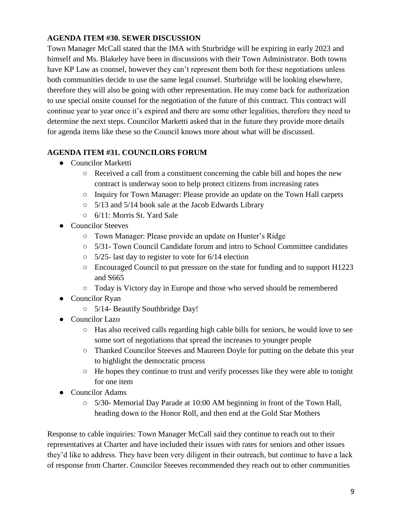### **AGENDA ITEM #30. SEWER DISCUSSION**

Town Manager McCall stated that the IMA with Sturbridge will be expiring in early 2023 and himself and Ms. Blakeley have been in discussions with their Town Administrator. Both towns have KP Law as counsel, however they can't represent them both for these negotiations unless both communities decide to use the same legal counsel. Sturbridge will be looking elsewhere, therefore they will also be going with other representation. He may come back for authorization to use special onsite counsel for the negotiation of the future of this contract. This contract will continue year to year once it's expired and there are some other legalities, therefore they need to determine the next steps. Councilor Marketti asked that in the future they provide more details for agenda items like these so the Council knows more about what will be discussed.

## **AGENDA ITEM #31. COUNCILORS FORUM**

- Councilor Marketti
	- Received a call from a constituent concerning the cable bill and hopes the new contract is underway soon to help protect citizens from increasing rates
	- Inquiry for Town Manager: Please provide an update on the Town Hall carpets
	- 5/13 and 5/14 book sale at the Jacob Edwards Library
	- 6/11: Morris St. Yard Sale
- Councilor Steeves
	- Town Manager: Please provide an update on Hunter's Ridge
	- $\circ$  5/31- Town Council Candidate forum and intro to School Committee candidates
	- $\circ$  5/25- last day to register to vote for 6/14 election
	- Encouraged Council to put pressure on the state for funding and to support H1223 and S665
	- Today is Victory day in Europe and those who served should be remembered
- Councilor Ryan
	- 5/14- Beautify Southbridge Day!
- Councilor Lazo
	- Has also received calls regarding high cable bills for seniors, he would love to see some sort of negotiations that spread the increases to younger people
	- Thanked Councilor Steeves and Maureen Doyle for putting on the debate this year to highlight the democratic process
	- He hopes they continue to trust and verify processes like they were able to tonight for one item
- Councilor Adams
	- $\circ$  5/30- Memorial Day Parade at 10:00 AM beginning in front of the Town Hall, heading down to the Honor Roll, and then end at the Gold Star Mothers

Response to cable inquiries: Town Manager McCall said they continue to reach out to their representatives at Charter and have included their issues with rates for seniors and other issues they'd like to address. They have been very diligent in their outreach, but continue to have a lack of response from Charter. Councilor Steeves recommended they reach out to other communities